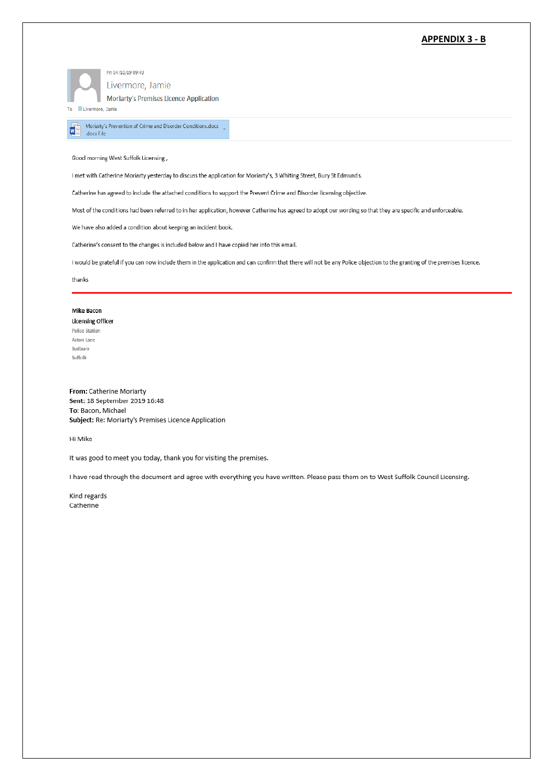## **APPENDIX 3 - B**

Fri 04/10/19 09:40 Livermore, Jamie

**Moriarty's Premises Licence Application** 

Moriarty's Prevention of Crime and Disorder Conditions.docx  $\quad\downarrow$ 

To Livermore, Jamie

.docx File

M

Good morning West Suffolk Licensing,

I met with Catherine Moriarty yesterday to discuss the application for Moriarty's, 3 Whiting Street, Bury St Edmunds.

Catherine has agreed to include the attached conditions to support the Prevent Crime and Disorder licensing objective.

Most of the conditions had been referred to in her application, however Catherine has agreed to adopt our wording so that they are specific and enforceable.

We have also added a condition about keeping an incident book.

Catherine's consent to the changes is included below and I have copied her into this email.

I would be grateful if you can now include them in the application and can confirm that there will not be any Police objection to the granting of the premises licence.

thanks

## **Mike Bacon**

**Licensing Officer** Police Station Acton Lane Sudbury Suffolk

From: Catherine Moriarty Sent: 18 September 2019 16:48 To: Bacon, Michael Subject: Re: Moriarty's Premises Licence Application

Hi Mike

It was good to meet you today, thank you for visiting the premises.

I have read through the document and agree with everything you have written. Please pass them on to West Suffolk Council Licensing.

Kind regards Catherine